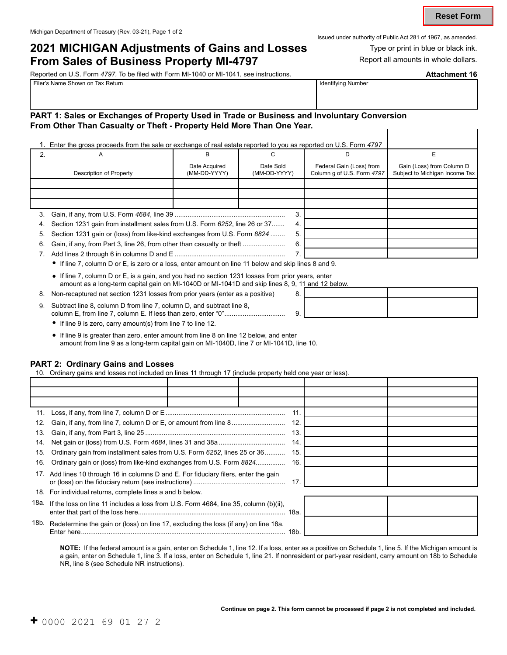# **2021 MICHIGAN Adjustments of Gains and Losses Type or print in blue or black ink.**<br>**From Sales of Rusiness Pronerty MI-4797** Peport all amounts in whole dollars.

## **From Sales of Business Property MI-4797**

Issued under authority of Public Act 281 of 1967, as amended.

| Reported on U.S. Form 4797. To be filed with Form MI-1040 or MI-1041, see instructions. |                           |  |  |  |
|-----------------------------------------------------------------------------------------|---------------------------|--|--|--|
| ⊩Filer's Name Shown on Tax Return                                                       | <b>Identifying Number</b> |  |  |  |

## **PART 1: Sales or Exchanges of Property Used in Trade or Business and Involuntary Conversion From Other Than Casualty or Theft - Property Held More Than One Year.**

|    | 1. Enter the gross proceeds from the sale or exchange of real estate reported to you as reported on U.S. Form 4797 |                               |                           |                                                        |                                                             |
|----|--------------------------------------------------------------------------------------------------------------------|-------------------------------|---------------------------|--------------------------------------------------------|-------------------------------------------------------------|
|    | А                                                                                                                  |                               |                           |                                                        |                                                             |
|    | Description of Property                                                                                            | Date Acquired<br>(MM-DD-YYYY) | Date Sold<br>(MM-DD-YYYY) | Federal Gain (Loss) from<br>Column g of U.S. Form 4797 | Gain (Loss) from Column D<br>Subject to Michigan Income Tax |
|    |                                                                                                                    |                               |                           |                                                        |                                                             |
|    |                                                                                                                    |                               |                           |                                                        |                                                             |
|    |                                                                                                                    |                               |                           |                                                        |                                                             |
|    |                                                                                                                    |                               | 3                         |                                                        |                                                             |
| 4. | Section 1231 gain from installment sales from U.S. Form 6252, line 26 or 37                                        |                               | 4.                        |                                                        |                                                             |
| 5. | Section 1231 gain or (loss) from like-kind exchanges from U.S. Form 8824                                           |                               | 5.                        |                                                        |                                                             |
| 6. | Gain, if any, from Part 3, line 26, from other than casualty or theft                                              |                               | 6.                        |                                                        |                                                             |
|    |                                                                                                                    |                               |                           |                                                        |                                                             |
|    |                                                                                                                    |                               |                           |                                                        |                                                             |

• If line 7, column D or E, is zero or a loss, enter amount on line 11 below and skip lines 8 and 9.

- If line 7, column D or E, is a gain, and you had no section 1231 losses from prior years, enter amount as a long-term capital gain on MI-1040D or MI-1041D and skip lines 8, 9, 11 and 12 below.
- 8. Non-recaptured net section 1231 losses from prior years (enter as a positive)
- 9. Subtract line 8, column D from line 7, column D, and subtract line 8, column E, from line 7, column E. If less than zero, enter "0".................................
	- If line 9 is zero, carry amount(s) from line 7 to line 12.
	- If line 9 is greater than zero, enter amount from line 8 on line 12 below, and enter amount from line 9 as a long-term capital gain on MI-1040D, line 7 or MI-1041D, line 10.

Enter here............................................................................................................... 18b.

## **PART 2: Ordinary Gains and Losses**

10. Ordinary gains and losses not included on lines 11 through 17 (include property held one year or less).

|      |                                                                                      |  | 11  |  |
|------|--------------------------------------------------------------------------------------|--|-----|--|
| 12.  |                                                                                      |  | 12. |  |
| 13.  |                                                                                      |  | 13. |  |
| 14.  |                                                                                      |  | 14. |  |
| 15.  | Ordinary gain from installment sales from U.S. Form 6252, lines 25 or 36             |  | 15. |  |
| 16.  | Ordinary gain or (loss) from like-kind exchanges from U.S. Form 8824                 |  | 16. |  |
|      | 17. Add lines 10 through 16 in columns D and E. For fiduciary filers, enter the gain |  | 17  |  |
| 18.  | For individual returns, complete lines a and b below.                                |  |     |  |
| 18a. | If the loss on line 11 includes a loss from U.S. Form 4684, line 35, column (b)(ii), |  |     |  |
| 18b. | Redetermine the gain or (loss) on line 17, excluding the loss (if any) on line 18a.  |  |     |  |

**NOTE:** If the federal amount is a gain, enter on Schedule 1, line 12. If a loss, enter as a positive on Schedule 1, line 5. If the Michigan amount is a gain, enter on Schedule 1, line 3. If a loss, enter on Schedule 1, line 21. If nonresident or part-year resident, carry amount on 18b to Schedule NR, line 8 (see Schedule NR instructions).

|    | $\sigma$ , it due is below. |  |
|----|-----------------------------|--|
|    |                             |  |
|    |                             |  |
| J. |                             |  |
|    |                             |  |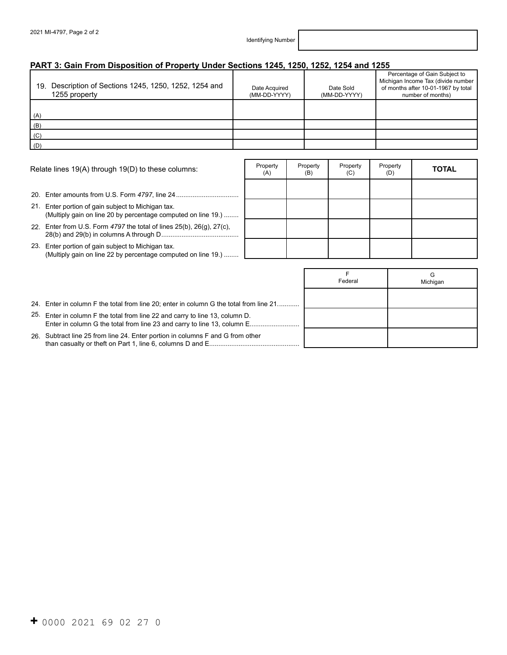## **PART 3: Gain From Disposition of Property Under Sections 1245, 1250, 1252, 1254 and 1255**

| 19. Description of Sections 1245, 1250, 1252, 1254 and<br>1255 property | Date Acquired<br>(MM-DD-YYYY) | Date Sold<br>(MM-DD-YYYY) | Percentage of Gain Subject to<br>Michigan Income Tax (divide number<br>of months after 10-01-1967 by total<br>number of months) |
|-------------------------------------------------------------------------|-------------------------------|---------------------------|---------------------------------------------------------------------------------------------------------------------------------|
| (A)                                                                     |                               |                           |                                                                                                                                 |
| (B)                                                                     |                               |                           |                                                                                                                                 |
| (C)                                                                     |                               |                           |                                                                                                                                 |
| (D)                                                                     |                               |                           |                                                                                                                                 |

| Relate lines 19(A) through 19(D) to these columns: |                                                                                                                 | Property<br>(A) | Property<br>(B) | Property<br>(C) | Property<br>(D) | <b>TOTAL</b> |
|----------------------------------------------------|-----------------------------------------------------------------------------------------------------------------|-----------------|-----------------|-----------------|-----------------|--------------|
|                                                    | 20. Enter amounts from U.S. Form 4797, line 24                                                                  |                 |                 |                 |                 |              |
|                                                    |                                                                                                                 |                 |                 |                 |                 |              |
| 21.                                                | Enter portion of gain subject to Michigan tax.<br>(Multiply gain on line 20 by percentage computed on line 19.) |                 |                 |                 |                 |              |
|                                                    | 22. Enter from U.S. Form $4797$ the total of lines $25(b)$ , $26(g)$ , $27(c)$ ,                                |                 |                 |                 |                 |              |
| 23.                                                | Enter portion of gain subject to Michigan tax.<br>(Multiply gain on line 22 by percentage computed on line 19.) |                 |                 |                 |                 |              |

|                                                                                                                                                         | Federal | G<br>Michigan |
|---------------------------------------------------------------------------------------------------------------------------------------------------------|---------|---------------|
| 24. Enter in column F the total from line 20; enter in column G the total from line 21                                                                  |         |               |
| 25. Enter in column F the total from line 22 and carry to line 13, column D.<br>Enter in column G the total from line 23 and carry to line 13, column E |         |               |
| 26. Subtract line 25 from line 24. Enter portion in columns F and G from other                                                                          |         |               |